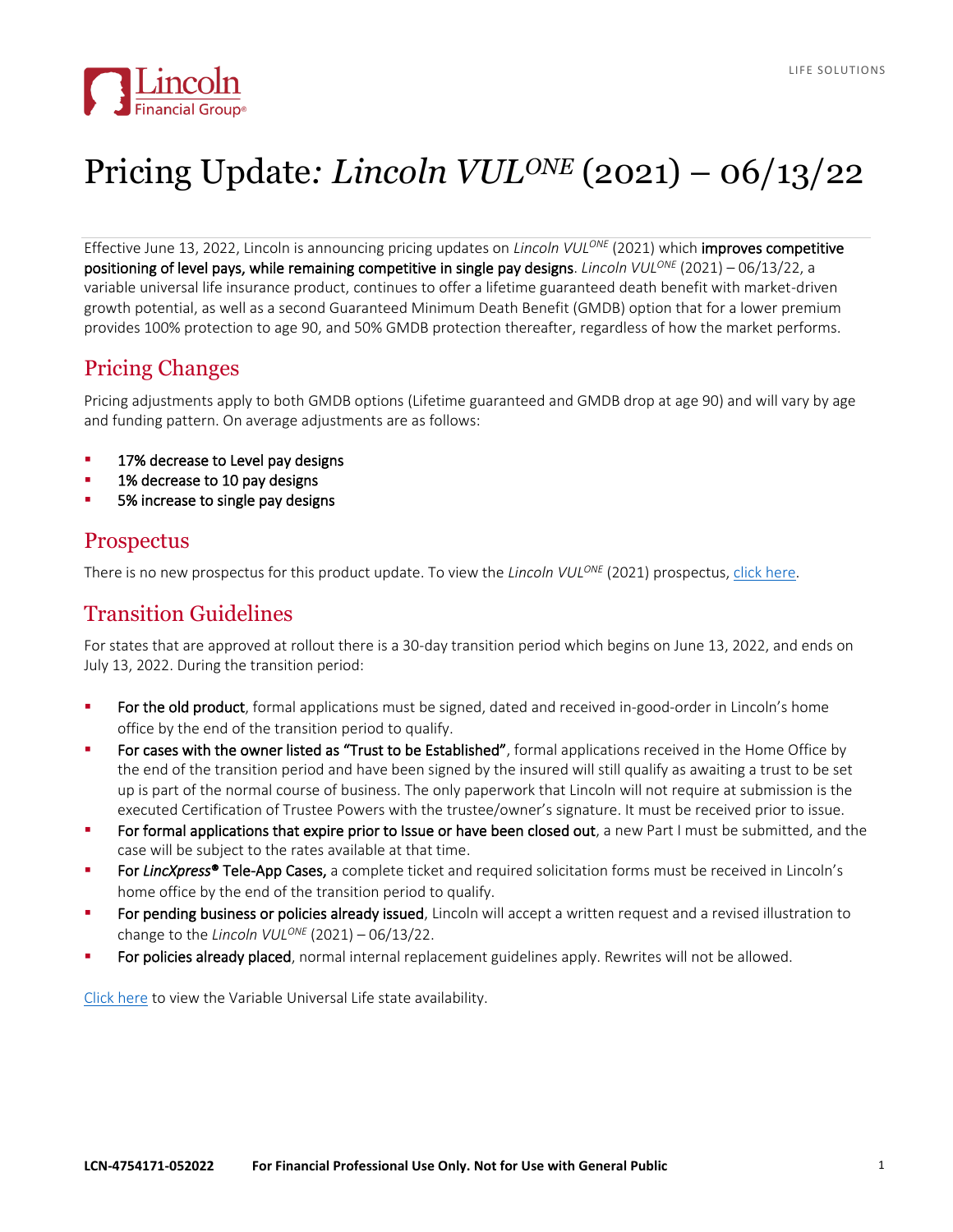

# Pricing Update*: Lincoln VULONE* (2021) – 06/13/22

Effective June 13, 2022, Lincoln is announcing pricing updates on *Lincoln VULONE* (2021) which improves competitive positioning of level pays, while remaining competitive in single pay designs. *Lincoln VULONE* (2021) – 06/13/22, a variable universal life insurance product, continues to offer a lifetime guaranteed death benefit with market-driven growth potential, as well as a second Guaranteed Minimum Death Benefit (GMDB) option that for a lower premium provides 100% protection to age 90, and 50% GMDB protection thereafter, regardless of how the market performs.

## Pricing Changes

Pricing adjustments apply to both GMDB options (Lifetime guaranteed and GMDB drop at age 90) and will vary by age and funding pattern. On average adjustments are as follows:

- 17% decrease to Level pay designs
- 1% decrease to 10 pay designs
- 5% increase to single pay designs

### **Prospectus**

There is no new prospectus for this product update. To view the *Lincoln VUL<sup>ONE</sup>* (2021) prospectus, *click here*.

### Transition Guidelines

For states that are approved at rollout there is a 30-day transition period which begins on June 13, 2022, and ends on July 13, 2022. During the transition period:

- For the old product, formal applications must be signed, dated and received in-good-order in Lincoln's home office by the end of the transition period to qualify.
- For cases with the owner listed as "Trust to be Established", formal applications received in the Home Office by the end of the transition period and have been signed by the insured will still qualify as awaiting a trust to be set up is part of the normal course of business. The only paperwork that Lincoln will not require at submission is the executed Certification of Trustee Powers with the trustee/owner's signature. It must be received prior to issue.
- For formal applications that expire prior to Issue or have been closed out, a new Part I must be submitted, and the case will be subject to the rates available at that time.
- For LincXpress<sup>®</sup> Tele-App Cases, a complete ticket and required solicitation forms must be received in Lincoln's home office by the end of the transition period to qualify.
- For pending business or policies already issued, Lincoln will accept a written request and a revised illustration to change to the *Lincoln VULONE* (2021) – 06/13/22.
- For policies already placed, normal internal replacement guidelines apply. Rewrites will not be allowed.

[Click here](https://bit.ly/VULavailability) to view the Variable Universal Life state availability.